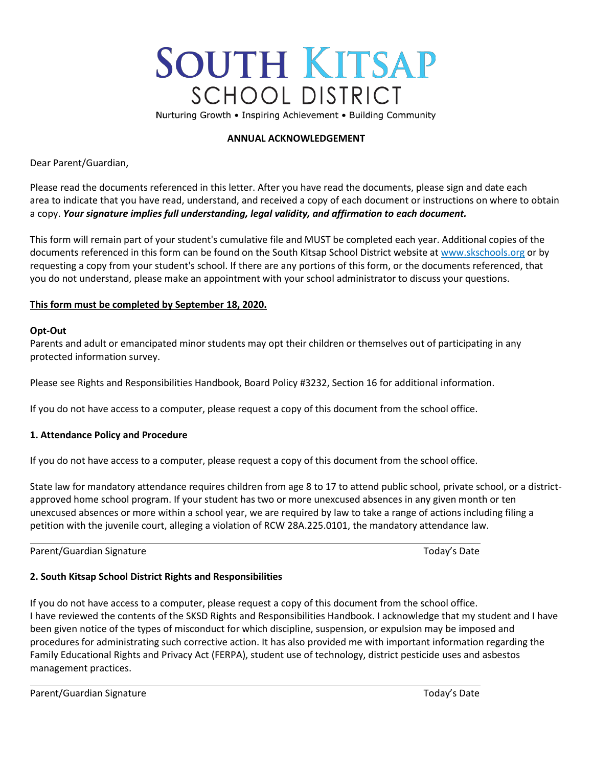# **SOUTH KITSAP SCHOOL DISTRICT**

Nurturing Growth • Inspiring Achievement • Building Community

## **ANNUAL ACKNOWLEDGEMENT**

Dear Parent/Guardian,

Please read the documents referenced in this letter. After you have read the documents, please sign and date each area to indicate that you have read, understand, and received a copy of each document or instructions on where to obtain a copy. *Your signature implies full understanding, legal validity, and affirmation to each document.*

This form will remain part of your student's cumulative file and MUST be completed each year. Additional copies of the documents referenced in this form can be found on the South Kitsap School District website a[t www.skschools.org](http://www.skschools.org/) or by requesting a copy from your student's school. If there are any portions of this form, or the documents referenced, that you do not understand, please make an appointment with your school administrator to discuss your questions.

## **This form must be completed by September 18, 2020.**

## **Opt-Out**

Parents and adult or emancipated minor students may opt their children or themselves out of participating in any protected information survey.

Please see Rights and Responsibilities Handbook, Board Policy #3232, Section 16 for additional information.

If you do not have access to a computer, please request a copy of this document from the school office.

## **1. Attendance Policy and Procedure**

If you do not have access to a computer, please request a copy of this document from the school office.

State law for mandatory attendance requires children from age 8 to 17 to attend public school, private school, or a districtapproved home school program. If your student has two or more unexcused absences in any given month or ten unexcused absences or more within a school year, we are required by law to take a range of actions including filing a petition with the juvenile court, alleging a violation of RCW 28A.225.0101, the mandatory attendance law.

Parent/Guardian Signature Today's Date Today's Date Today's Date

# **2. South Kitsap School District Rights and Responsibilities**

If you do not have access to a computer, please request a copy of this document from the school office. I have reviewed the contents of the SKSD Rights and Responsibilities Handbook. I acknowledge that my student and I have been given notice of the types of misconduct for which discipline, suspension, or expulsion may be imposed and procedures for administrating such corrective action. It has also provided me with important information regarding the Family Educational Rights and Privacy Act (FERPA), student use of technology, district pesticide uses and asbestos management practices.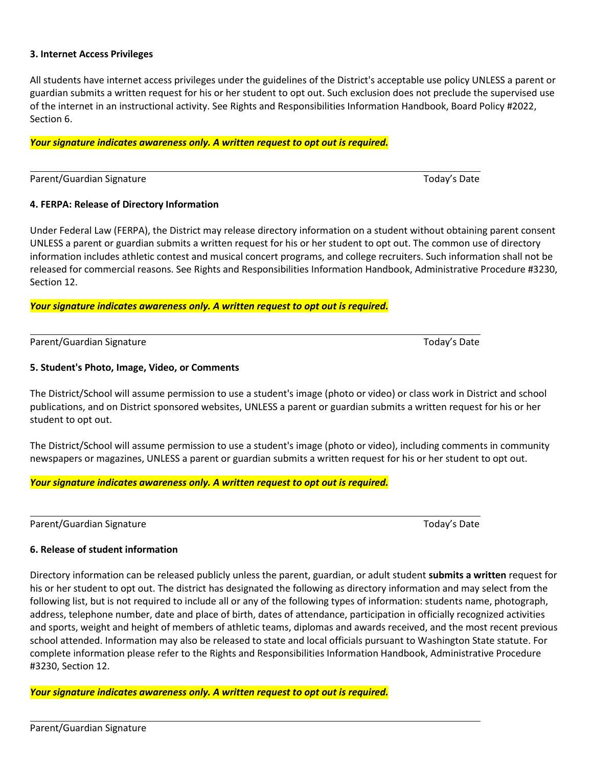#### **3. Internet Access Privileges**

All students have internet access privileges under the guidelines of the District's acceptable use policy UNLESS a parent or guardian submits a written request for his or her student to opt out. Such exclusion does not preclude the supervised use of the internet in an instructional activity. See Rights and Responsibilities Information Handbook, Board Policy #2022, Section 6.

#### *Your signature indicates awareness only. A written request to opt out is required.*

Parent/Guardian Signature Today's Date Today's Date

#### **4. FERPA: Release of Directory Information**

Under Federal Law (FERPA), the District may release directory information on a student without obtaining parent consent UNLESS a parent or guardian submits a written request for his or her student to opt out. The common use of directory information includes athletic contest and musical concert programs, and college recruiters. Such information shall not be released for commercial reasons. See Rights and Responsibilities Information Handbook, Administrative Procedure #3230, Section 12.

*Your signature indicates awareness only. A written request to opt out is required.*

Parent/Guardian Signature Today's Date Today's Date Today's Date

#### **5. Student's Photo, Image, Video, or Comments**

The District/School will assume permission to use a student's image (photo or video) or class work in District and school publications, and on District sponsored websites, UNLESS a parent or guardian submits a written request for his or her student to opt out.

The District/School will assume permission to use a student's image (photo or video), including comments in community newspapers or magazines, UNLESS a parent or guardian submits a written request for his or her student to opt out.

*Your signature indicates awareness only. A written request to opt out is required.*

Parent/Guardian Signature Today's Date Today's Date

#### **6. Release of student information**

Directory information can be released publicly unless the parent, guardian, or adult student **submits a written** request for his or her student to opt out. The district has designated the following as directory information and may select from the following list, but is not required to include all or any of the following types of information: students name, photograph, address, telephone number, date and place of birth, dates of attendance, participation in officially recognized activities and sports, weight and height of members of athletic teams, diplomas and awards received, and the most recent previous school attended. Information may also be released to state and local officials pursuant to Washington State statute. For complete information please refer to the Rights and Responsibilities Information Handbook, Administrative Procedure #3230, Section 12.

*Your signature indicates awareness only. A written request to opt out is required.*